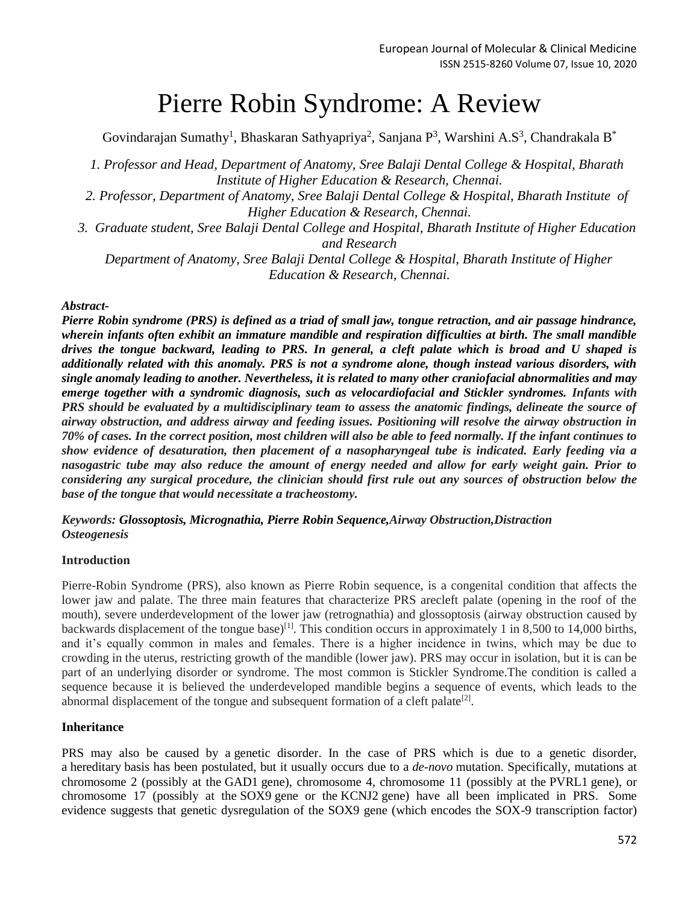# Pierre Robin Syndrome: A Review

Govindarajan Sumathy<sup>1</sup>, Bhaskaran Sathyapriya<sup>2</sup>, Sanjana P<sup>3</sup>, Warshini A.S<sup>3</sup>, Chandrakala B<sup>\*</sup>

*1. Professor and Head, Department of Anatomy, Sree Balaji Dental College & Hospital, Bharath Institute of Higher Education & Research, Chennai.*

- *2. Professor, Department of Anatomy, Sree Balaji Dental College & Hospital, Bharath Institute of Higher Education & Research, Chennai.*
- *3. Graduate student, Sree Balaji Dental College and Hospital, Bharath Institute of Higher Education and Research*

*Department of Anatomy, Sree Balaji Dental College & Hospital, Bharath Institute of Higher Education & Research, Chennai.*

### *Abstract-*

*Pierre Robin syndrome (PRS) is defined as a triad of small jaw, tongue retraction, and air passage hindrance, wherein infants often exhibit an immature mandible and respiration difficulties at birth. The small mandible drives the tongue backward, leading to PRS. In general, a cleft palate which is broad and U shaped is additionally related with this anomaly. PRS is not a syndrome alone, though instead various disorders, with single anomaly leading to another. Nevertheless, it is related to many other craniofacial abnormalities and may emerge together with a syndromic diagnosis, such as velocardiofacial and Stickler syndromes. Infants with PRS should be evaluated by a multidisciplinary team to assess the anatomic findings, delineate the source of airway obstruction, and address airway and feeding issues. Positioning will resolve the airway obstruction in 70% of cases. In the correct position, most children will also be able to feed normally. If the infant continues to show evidence of desaturation, then placement of a nasopharyngeal tube is indicated. Early feeding via a nasogastric tube may also reduce the amount of energy needed and allow for early weight gain. Prior to considering any surgical procedure, the clinician should first rule out any sources of obstruction below the base of the tongue that would necessitate a tracheostomy.*

*Keywords: Glossoptosis, Micrognathia, Pierre Robin Sequence,Airway Obstruction,Distraction Osteogenesis*

#### **Introduction**

Pierre-Robin Syndrome (PRS), also known as Pierre Robin sequence, is a congenital condition that affects the lower jaw and palate. The three main features that characterize PRS arecleft palate (opening in the roof of the mouth), severe underdevelopment of the lower jaw (retrognathia) and glossoptosis (airway obstruction caused by backwards displacement of the tongue base)<sup>[1]</sup>. This condition occurs in approximately 1 in 8,500 to 14,000 births, and it's equally common in males and females. There is a higher incidence in twins, which may be due to crowding in the uterus, restricting growth of the mandible (lower jaw). PRS may occur in isolation, but it is can be part of an underlying disorder or syndrome. The most common is Stickler Syndrome.The condition is called a sequence because it is believed the underdeveloped mandible begins a sequence of events, which leads to the abnormal displacement of the tongue and subsequent formation of a cleft palate<sup>[2]</sup>.

#### **Inheritance**

PRS may also be caused by a [genetic disorder.](https://en.wikipedia.org/wiki/Genetic_disorder) In the case of PRS which is due to a genetic disorder, a [hereditary](https://en.wikipedia.org/wiki/Hereditary) basis has been postulated, but it usually occurs due to a *de-novo* [mutation.](https://en.wikipedia.org/wiki/Mutation) Specifically, mutations at chromosome 2 (possibly at the [GAD1](https://en.wikipedia.org/wiki/GAD1) gene), chromosome 4, chromosome 11 (possibly at the [PVRL1](https://en.wikipedia.org/wiki/PVRL1) gene), or chromosome 17 (possibly at the [SOX9](https://en.wikipedia.org/wiki/SOX9) gene or the [KCNJ2](https://en.wikipedia.org/wiki/KCNJ2) gene) have all been implicated in PRS. Some evidence suggests that genetic dysregulation of the SOX9 gene (which encodes the SOX-9 transcription factor)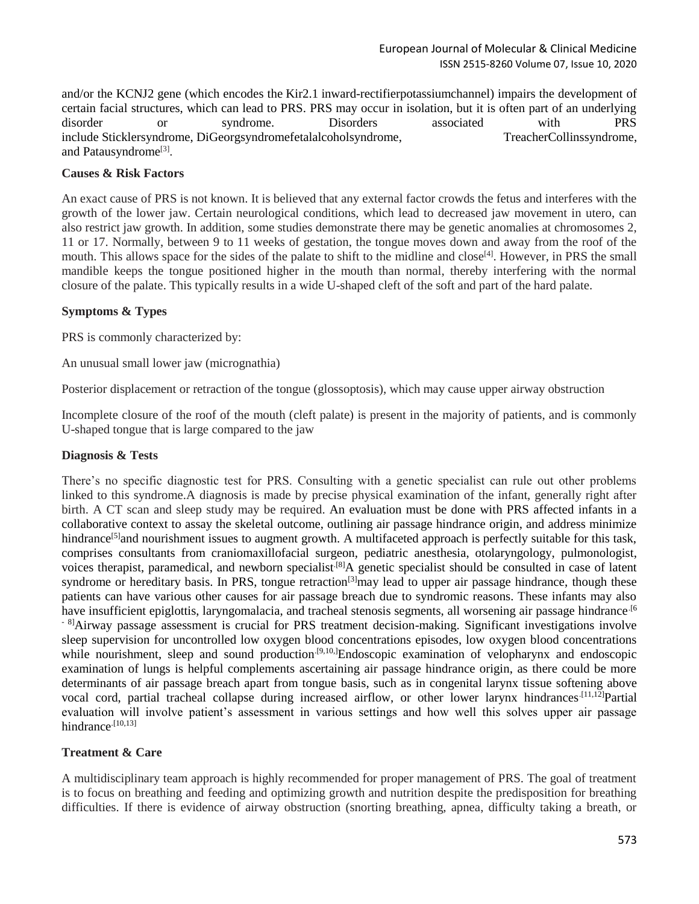and/or the KCNJ2 gene (which encodes the [Kir2.1](https://en.wikipedia.org/wiki/Kir2.1) [inward-rectifierpotassiumchannel\)](https://en.wikipedia.org/wiki/Inward-rectifier_potassium_channel) impairs the development of certain facial structures, which can lead to PRS. PRS may occur in isolation, but it is often part of an underlying disorder or syndrome. Disorders associated with PRS include [Sticklersyndrome,](https://en.wikipedia.org/wiki/Stickler_syndrome) [DiGeorgsyndromefetalalcoholsyndrome,](https://en.wikipedia.org/wiki/DiGeorge_syndrome) [TreacherCollinssyndrome,](https://en.wikipedia.org/wiki/Treacher_Collins_syndrome) and [Patausyndrome](https://en.wikipedia.org/wiki/Patau_syndrome)<sup>[3]</sup>.

### **Causes & Risk Factors**

An exact cause of PRS is not known. It is believed that any external factor crowds the fetus and interferes with the growth of the lower jaw. Certain neurological conditions, which lead to decreased jaw movement in utero, can also restrict jaw growth. In addition, some studies demonstrate there may be genetic anomalies at chromosomes 2, 11 or 17. Normally, between 9 to 11 weeks of gestation, the tongue moves down and away from the roof of the mouth. This allows space for the sides of the palate to shift to the midline and close<sup>[4]</sup>. However, in PRS the small mandible keeps the tongue positioned higher in the mouth than normal, thereby interfering with the normal closure of the palate. This typically results in a wide U-shaped cleft of the soft and part of the hard palate.

### **Symptoms & Types**

PRS is commonly characterized by:

An unusual small lower jaw (micrognathia)

Posterior displacement or retraction of the tongue (glossoptosis), which may cause upper airway obstruction

Incomplete closure of the roof of the mouth (cleft palate) is present in the majority of patients, and is commonly U-shaped tongue that is large compared to the jaw

#### **Diagnosis & Tests**

There's no specific diagnostic test for PRS. Consulting with a genetic specialist can rule out other problems linked to this syndrome.A diagnosis is made by precise physical examination of the infant, generally right after birth. A CT scan and sleep study may be required. An evaluation must be done with PRS affected infants in a collaborative context to assay the skeletal outcome, outlining air passage hindrance origin, and address minimize hindrance<sup>[5]</sup>and nourishment issues to augment growth. A multifaceted approach is perfectly suitable for this task, comprises consultants from craniomaxillofacial surgeon, pediatric anesthesia, otolaryngology, pulmonologist, voices therapist, paramedical, and newborn specialist.[8]A genetic specialist should be consulted in case of latent syndrome or hereditary basis. In PRS, tongue retraction<sup>[3]</sup>may lead to upper air passage hindrance, though these patients can have various other causes for air passage breach due to syndromic reasons. These infants may also have insufficient epiglottis, laryngomalacia, and tracheal stenosis segments, all worsening air passage hindrance.<sup>[6</sup>] <sup>- 8]</sup>Airway passage assessment is crucial for PRS treatment decision-making. Significant investigations involve sleep supervision for uncontrolled low oxygen blood concentrations episodes, low oxygen blood concentrations while nourishment, sleep and sound production<sup>[9,10,]</sup>Endoscopic examination of velopharynx and endoscopic examination of lungs is helpful complements ascertaining air passage hindrance origin, as there could be more determinants of air passage breach apart from tongue basis, such as in congenital larynx tissue softening above vocal cord, partial tracheal collapse during increased airflow, or other lower larynx hindrances.<sup>[11,12]</sup>Partial evaluation will involve patient's assessment in various settings and how well this solves upper air passage hindrance<sup>[10,13]</sup>

## **Treatment & Care**

A multidisciplinary team approach is highly recommended for proper management of PRS. The goal of treatment is to focus on breathing and feeding and optimizing growth and nutrition despite the predisposition for breathing difficulties. If there is evidence of airway obstruction (snorting breathing, apnea, difficulty taking a breath, or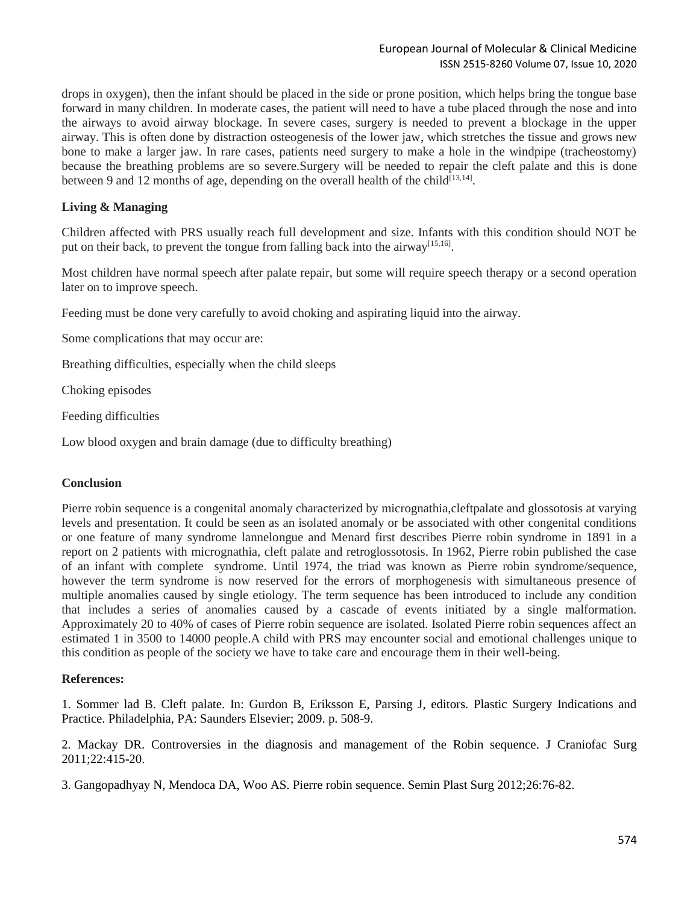drops in oxygen), then the infant should be placed in the side or prone position, which helps bring the tongue base forward in many children. In moderate cases, the patient will need to have a tube placed through the nose and into the airways to avoid airway blockage. In severe cases, surgery is needed to prevent a blockage in the upper airway. This is often done by distraction osteogenesis of the lower jaw, which stretches the tissue and grows new bone to make a larger jaw. In rare cases, patients need surgery to make a hole in the windpipe (tracheostomy) because the breathing problems are so severe.Surgery will be needed to repair the cleft palate and this is done between 9 and 12 months of age, depending on the overall health of the child<sup>[13,14]</sup>.

### **Living & Managing**

Children affected with PRS usually reach full development and size. Infants with this condition should NOT be put on their back, to prevent the tongue from falling back into the airway<sup>[15,16]</sup>.

Most children have normal speech after palate repair, but some will require speech therapy or a second operation later on to improve speech.

Feeding must be done very carefully to avoid choking and aspirating liquid into the airway.

Some complications that may occur are:

Breathing difficulties, especially when the child sleeps

Choking episodes

Feeding difficulties

Low blood oxygen and brain damage (due to difficulty breathing)

#### **Conclusion**

Pierre robin sequence is a congenital anomaly characterized by micrognathia,cleftpalate and glossotosis at varying levels and presentation. It could be seen as an isolated anomaly or be associated with other congenital conditions or one feature of many syndrome lannelongue and Menard first describes Pierre robin syndrome in 1891 in a report on 2 patients with micrognathia, cleft palate and retroglossotosis. In 1962, Pierre robin published the case of an infant with complete syndrome. Until 1974, the triad was known as Pierre robin syndrome/sequence, however the term syndrome is now reserved for the errors of morphogenesis with simultaneous presence of multiple anomalies caused by single etiology. The term sequence has been introduced to include any condition that includes a series of anomalies caused by a cascade of events initiated by a single malformation. Approximately 20 to 40% of cases of Pierre robin sequence are isolated. Isolated Pierre robin sequences affect an estimated 1 in 3500 to 14000 people.A child with PRS may encounter social and emotional challenges unique to this condition as people of the society we have to take care and encourage them in their well-being.

#### **References:**

1. Sommer lad B. Cleft palate. In: Gurdon B, Eriksson E, Parsing J, editors. Plastic Surgery Indications and Practice. Philadelphia, PA: Saunders Elsevier; 2009. p. 508-9.

2. Mackay DR. Controversies in the diagnosis and management of the Robin sequence. J Craniofac Surg 2011;22:415-20.

3. Gangopadhyay N, Mendoca DA, Woo AS. Pierre robin sequence. Semin Plast Surg 2012;26:76-82.